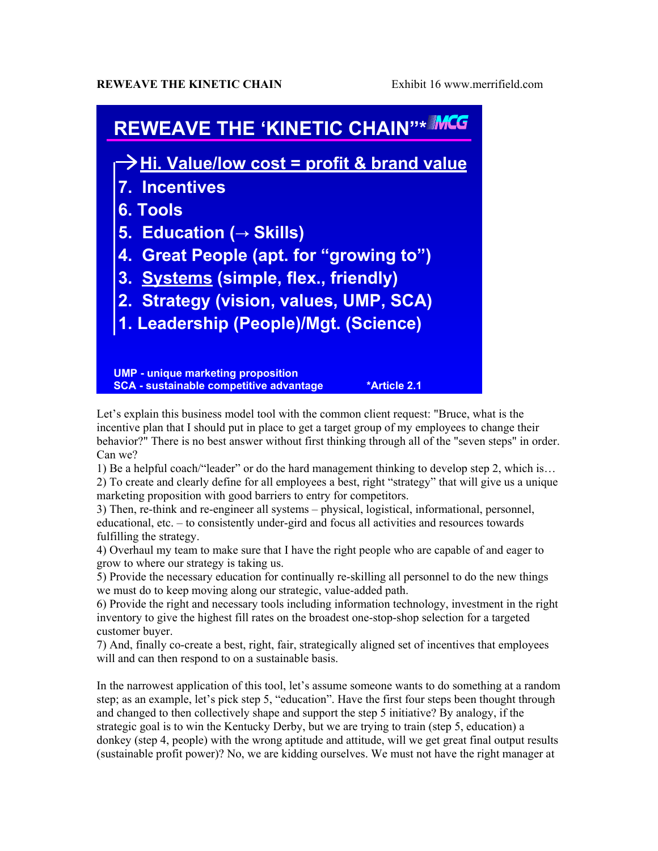## **REWEAVE THE KINETIC CHAIN** Exhibit 16 www.merrifield.com



Let's explain this business model tool with the common client request: "Bruce, what is the incentive plan that I should put in place to get a target group of my employees to change their behavior?" There is no best answer without first thinking through all of the "seven steps" in order. Can we?

1) Be a helpful coach/"leader" or do the hard management thinking to develop step 2, which is…

2) To create and clearly define for all employees a best, right "strategy" that will give us a unique marketing proposition with good barriers to entry for competitors.

3) Then, re-think and re-engineer all systems – physical, logistical, informational, personnel, educational, etc. – to consistently under-gird and focus all activities and resources towards fulfilling the strategy.

4) Overhaul my team to make sure that I have the right people who are capable of and eager to grow to where our strategy is taking us.

5) Provide the necessary education for continually re-skilling all personnel to do the new things we must do to keep moving along our strategic, value-added path.

6) Provide the right and necessary tools including information technology, investment in the right inventory to give the highest fill rates on the broadest one-stop-shop selection for a targeted customer buyer.

7) And, finally co-create a best, right, fair, strategically aligned set of incentives that employees will and can then respond to on a sustainable basis.

In the narrowest application of this tool, let's assume someone wants to do something at a random step; as an example, let's pick step 5, "education". Have the first four steps been thought through and changed to then collectively shape and support the step 5 initiative? By analogy, if the strategic goal is to win the Kentucky Derby, but we are trying to train (step 5, education) a donkey (step 4, people) with the wrong aptitude and attitude, will we get great final output results (sustainable profit power)? No, we are kidding ourselves. We must not have the right manager at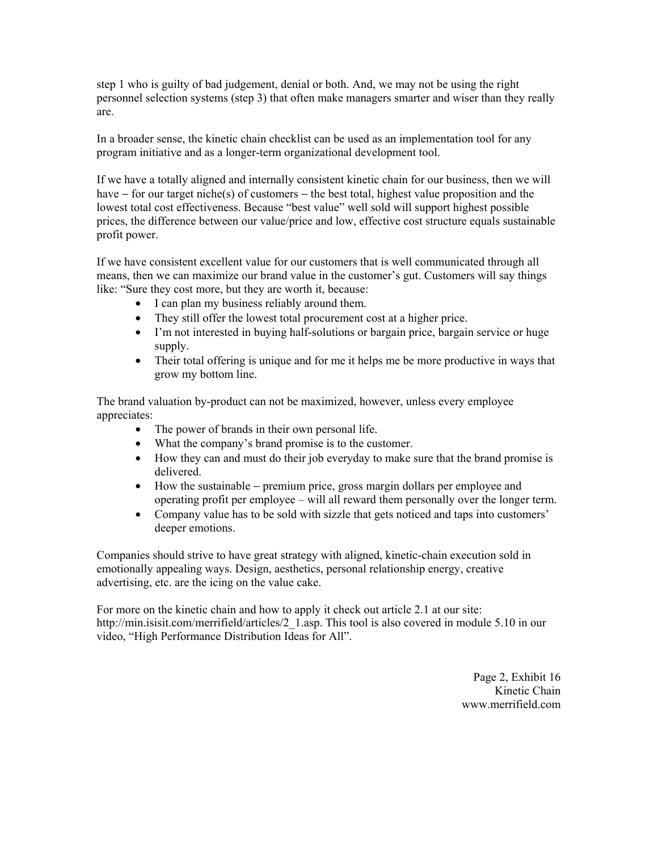step 1 who is guilty of bad judgement, denial or both. And, we may not be using the right personnel selection systems (step 3) that often make managers smarter and wiser than they really are.

In a broader sense, the kinetic chain checklist can be used as an implementation tool for any program initiative and as a longer-term organizational development tool.

If we have a totally aligned and internally consistent kinetic chain for our business, then we will have − for our target niche(s) of customers − the best total, highest value proposition and the lowest total cost effectiveness. Because "best value" well sold will support highest possible prices, the difference between our value/price and low, effective cost structure equals sustainable profit power.

If we have consistent excellent value for our customers that is well communicated through all means, then we can maximize our brand value in the customer's gut. Customers will say things like: "Sure they cost more, but they are worth it, because:

- I can plan my business reliably around them.
- They still offer the lowest total procurement cost at a higher price.
- I'm not interested in buying half-solutions or bargain price, bargain service or huge supply.
- Their total offering is unique and for me it helps me be more productive in ways that grow my bottom line.

The brand valuation by-product can not be maximized, however, unless every employee appreciates:

- The power of brands in their own personal life.
- What the company's brand promise is to the customer.
- How they can and must do their job everyday to make sure that the brand promise is delivered.
- How the sustainable − premium price, gross margin dollars per employee and operating profit per employee – will all reward them personally over the longer term.
- Company value has to be sold with sizzle that gets noticed and taps into customers' deeper emotions.

Companies should strive to have great strategy with aligned, kinetic-chain execution sold in emotionally appealing ways. Design, aesthetics, personal relationship energy, creative advertising, etc. are the icing on the value cake.

For more on the kinetic chain and how to apply it check out article 2.1 at our site: http://min.isisit.com/merrifield/articles/2 1.asp. This tool is also covered in module 5.10 in our video, "High Performance Distribution Ideas for All".

> Page 2, Exhibit 16 Kinetic Chain www.merrifield.com